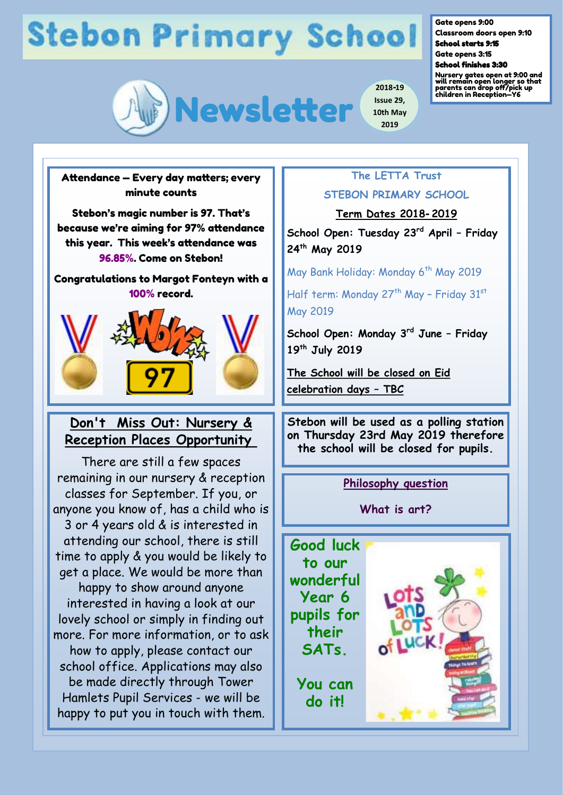# **Stebon Primary School**



Gate opens 9:00

Classroom doors open 9:10 School starts 9:15

Gate opens 3:15

School finishes 3:30

Nursery gates open at 9:00 and will remain open longer so that parents can drop off/pick up children in Reception—Y6

Attendance — Every day matters; every minute counts

Stebon's magic number is 97. That's because we're aiming for 97% attendance this year. This week's attendance was 96.85%. Come on Stebon!

Congratulations to Margot Fonteyn with a 100% record.



### **Don't Miss Out: Nursery & Reception Places Opportunity**

There are still a few spaces remaining in our nursery & reception classes for September. If you, or anyone you know of, has a child who is 3 or 4 years old & is interested in attending our school, there is still time to apply & you would be likely to get a place. We would be more than happy to show around anyone interested in having a look at our lovely school or simply in finding out more. For more information, or to ask how to apply, please contact our school office. Applications may also be made directly through Tower Hamlets Pupil Services - we will be happy to put you in touch with them.

### **The LETTA Trust**

**STEBON PRIMARY SCHOOL**

### **Term Dates 2018-2019**

**School Open: Tuesday 23rd April – Friday 24th May 2019**

May Bank Holiday: Monday 6<sup>th</sup> May 2019

Half term: Monday 27<sup>th</sup> May - Friday 31st May 2019

**School Open: Monday 3rd June – Friday 19th July 2019**

**The School will be closed on Eid celebration days – TBC** 

**Stebon will be used as a polling station on Thursday 23rd May 2019 therefore the school will be closed for pupils.** 

**Philosophy question** 

**What is art?**